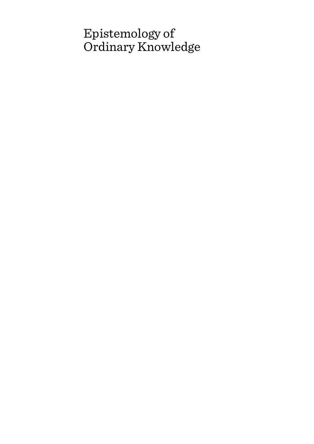# Epistemology of Ordinary Knowledge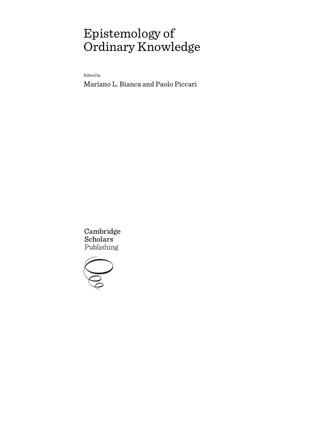# Epistemology of Ordinary Knowledge

Edited by

Mariano L. Bianca and Paolo Piccari

Cambridge **Scholars** Publishing

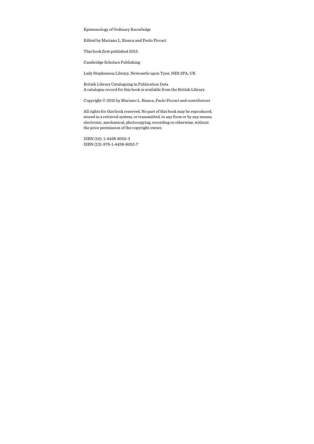Epistemology of Ordinary Knowledge

Edited by Mariano L. Bianca and Paolo Piccari

This book first published 2015

Cambridge Scholars Publishing

Lady Stephenson Library, Newcastle upon Tyne, NE6 2PA, UK

British Library Cataloguing in Publication Data A catalogue record for this book is available from the British Library

Copyright © 2015 by Mariano L. Bianca, Paolo Piccari and contributors

All rights for this book reserved. No part of this book may be reproduced, stored in a retrieval system, or transmitted, in any form or by any means, electronic, mechanical, photocopying, recording or otherwise, without the prior permission of the copyright owner.

ISBN (10): 1-4438-8052-3 ISBN (13): 978-1-4438-8052-7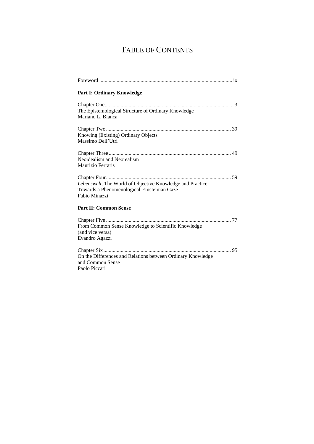## TABLE OF CONTENTS

| <b>Part I: Ordinary Knowledge</b>                                                                                          |
|----------------------------------------------------------------------------------------------------------------------------|
| The Epistemological Structure of Ordinary Knowledge<br>Mariano L. Bianca                                                   |
| Knowing (Existing) Ordinary Objects<br>Massimo Dell'Utri                                                                   |
| Neoidealism and Neorealism<br>Maurizio Ferraris                                                                            |
| Lebenswelt, The World of Objective Knowledge and Practice:<br>Towards a Phenomenological-Einsteinian Gaze<br>Fabio Minazzi |
| <b>Part II: Common Sense</b>                                                                                               |
| From Common Sense Knowledge to Scientific Knowledge<br>(and vice versa)<br>Evandro Agazzi                                  |
| On the Differences and Relations between Ordinary Knowledge<br>and Common Sense<br>Paolo Piccari                           |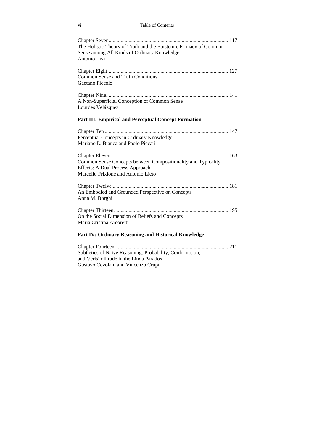| The Holistic Theory of Truth and the Epistemic Primacy of Common<br>Sense among All Kinds of Ordinary Knowledge<br>Antonio Livi                 |
|-------------------------------------------------------------------------------------------------------------------------------------------------|
| <b>Common Sense and Truth Conditions</b><br>Gaetano Piccolo                                                                                     |
| A Non-Superficial Conception of Common Sense<br>Lourdes Velázquez                                                                               |
| <b>Part III: Empirical and Perceptual Concept Formation</b>                                                                                     |
| Perceptual Concepts in Ordinary Knowledge<br>Mariano L. Bianca and Paolo Piccari                                                                |
| Common Sense Concepts between Compositionality and Typicality<br><b>Effects: A Dual Process Approach</b><br>Marcello Frixione and Antonio Lieto |
| An Embodied and Grounded Perspective on Concepts<br>Anna M. Borghi                                                                              |
| On the Social Dimension of Beliefs and Concepts<br>Maria Cristina Amoretti                                                                      |
| Part IV: Ordinary Reasoning and Historical Knowledge                                                                                            |
| Subtleties of Naïve Reasoning: Probability, Confirmation,<br>and Verisimilitude in the Linda Paradox<br>Gustavo Cevolani and Vincenzo Crupi     |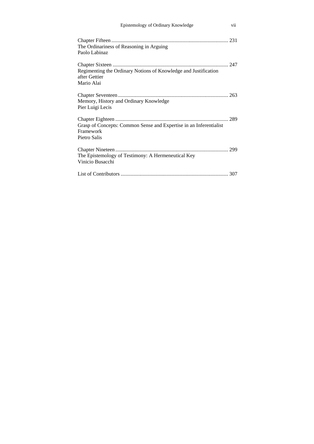| Epistemology of Ordinary Knowledge                                                              | vii |
|-------------------------------------------------------------------------------------------------|-----|
| The Ordinariness of Reasoning in Arguing<br>Paolo Labinaz                                       |     |
| Regimenting the Ordinary Notions of Knowledge and Justification<br>after Gettier<br>Mario Alai  |     |
| Memory, History and Ordinary Knowledge<br>Pier Luigi Lecis                                      |     |
| Grasp of Concepts: Common Sense and Expertise in an Inferentialist<br>Framework<br>Pietro Salis |     |
| The Epistemology of Testimony: A Hermeneutical Key<br>Vinicio Busacchi                          |     |
|                                                                                                 |     |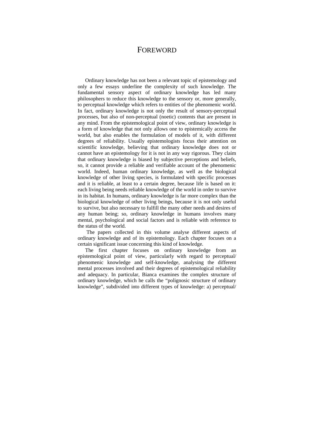### FOREWORD

Ordinary knowledge has not been a relevant topic of epistemology and only a few essays underline the complexity of such knowledge. The fundamental sensory aspect of ordinary knowledge has led many philosophers to reduce this knowledge to the sensory or, more generally, to perceptual knowledge which refers to entities of the phenomenic world. In fact, ordinary knowledge is not only the result of sensory-perceptual processes, but also of non-perceptual (noetic) contents that are present in any mind. From the epistemological point of view, ordinary knowledge is a form of knowledge that not only allows one to epistemically access the world, but also enables the formulation of models of it, with different degrees of reliability. Usually epistemologists focus their attention on scientific knowledge, believing that ordinary knowledge does not or cannot have an epistemology for it is not in any way rigorous. They claim that ordinary knowledge is biased by subjective perceptions and beliefs, so, it cannot provide a reliable and verifiable account of the phenomenic world. Indeed, human ordinary knowledge, as well as the biological knowledge of other living species, is formulated with specific processes and it is reliable, at least to a certain degree, because life is based on it: each living being needs reliable knowledge of the world in order to survive in its habitat. In humans, ordinary knowledge is far more complex than the biological knowledge of other living beings, because it is not only useful to survive, but also necessary to fulfill the many other needs and desires of any human being; so, ordinary knowledge in humans involves many mental, psychological and social factors and is reliable with reference to the status of the world.

 The papers collected in this volume analyse different aspects of ordinary knowledge and of its epistemology. Each chapter focuses on a certain significant issue concerning this kind of knowledge.

The first chapter focuses on ordinary knowledge from an epistemological point of view, particularly with regard to perceptual/ phenomenic knowledge and self-knowledge, analysing the different mental processes involved and their degrees of epistemological reliability and adequacy. In particular, Bianca examines the complex structure of ordinary knowledge, which he calls the "polignosic structure of ordinary knowledge", subdivided into different types of knowledge: a) perceptual/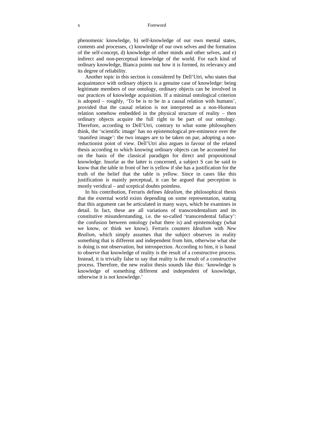phenomenic knowledge, b) self-knowledge of our own mental states, contents and processes, c) knowledge of our own selves and the formation of the self-concept, d) knowledge of other minds and other selves, and e) indirect and non-perceptual knowledge of the world. For each kind of ordinary knowledge, Bianca points out how it is formed, its relevancy and its degree of reliability.

Another topic in this section is considered by Dell'Utri, who states that acquaintance with ordinary objects is a genuine case of knowledge: being legitimate members of our ontology, ordinary objects can be involved in our practices of knowledge acquisition. If a minimal ontological criterion is adopted – roughly, 'To be is to be in a causal relation with humans', provided that the causal relation is not interpreted as a non-Humean relation somehow embedded in the physical structure of reality – then ordinary objects acquire the full right to be part of our ontology. Therefore, according to Dell'Utri, contrary to what some philosophers think, the 'scientific image' has no epistemological pre-eminence over the 'manifest image': the two images are to be taken on par, adopting a nonreductionist point of view. Dell'Utri also argues in favour of the related thesis according to which knowing ordinary objects can be accounted for on the basis of the classical paradigm for direct and propositional knowledge. Insofar as the latter is concerned, a subject S can be said to know that the table in front of her is yellow if she has a justification for the truth of the belief that the table is yellow. Since in cases like this justification is mainly perceptual, it can be argued that perception is mostly veridical – and sceptical doubts pointless.

In his contribution, Ferraris defines *Idealism,* the philosophical thesis that the external world exists depending on some representation, stating that this argument can be articulated in many ways, which he examines in detail. In fact, these are all variations of transcendentalism and its constitutive misunderstanding, i.e. the so-called 'transcendental fallacy': the confusion between ontology (what there is) and epistemology (what we know, or think we know). Ferraris counters *Idealism* with *New Realism,* which simply assumes that the subject observes in reality something that is different and independent from him, otherwise what she is doing is not observation, but introspection. According to him, it is banal to observe that knowledge of reality is the result of a constructive process. Instead, it is trivially false to say that reality is the result of a constructive process. Therefore, the new realist thesis sounds like this: 'knowledge is knowledge of something different and independent of knowledge, otherwise it is not knowledge.'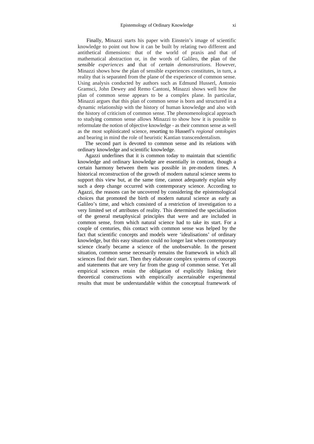Finally, Minazzi starts his paper with Einstein's image of scientific knowledge to point out how it can be built by relating two different and antithetical dimensions: that of the world of praxis and that of mathematical abstraction or, in the words of Galileo, the plan of the *sensible experiences* and that of *certain demonstrations*. However, Minazzi shows how the plan of sensible experiences constitutes, in turn, a reality that is separated from the plane of the experience of common sense. Using analysis conducted by authors such as Edmund Husserl, Antonio Gramsci, John Dewey and Remo Cantoni, Minazzi shows well how the plan of common sense appears to be a complex plane. In particular, Minazzi argues that this plan of common sense is born and structured in a dynamic relationship with the history of human knowledge and also with the history of criticism of common sense. The phenomenological approach to studying common sense allows Minazzi to show how it is possible to reformulate the notion of objective knowledge - as their common sense as well as the most sophisticated science, resorting to Husserl's *regional ontologies* and bearing in mind the role of heuristic Kantian transcendentalism.

The second part is devoted to common sense and its relations with ordinary knowledge and scientific knowledge.

Agazzi underlines that it is common today to maintain that scientific knowledge and ordinary knowledge are essentially in contrast, though a certain harmony between them was possible in pre-modern times. A historical reconstruction of the growth of modern natural science seems to support this view but, at the same time, cannot adequately explain why such a deep change occurred with contemporary science. According to Agazzi, the reasons can be uncovered by considering the epistemological choices that promoted the birth of modern natural science as early as Galileo's time, and which consisted of a restriction of investigation to a very limited set of attributes of reality. This determined the specialisation of the general metaphysical principles that were and are included in common sense, from which natural science had to take its start. For a couple of centuries, this contact with common sense was helped by the fact that scientific concepts and models were 'idealisations' of ordinary knowledge, but this easy situation could no longer last when contemporary science clearly became a science of the unobservable. In the present situation, common sense necessarily remains the framework in which all sciences find their start. Then they elaborate complex systems of concepts and statements that are very far from the grasp of common sense. Yet all empirical sciences retain the obligation of explicitly linking their theoretical constructions with empirically ascertainable experimental results that must be understandable within the conceptual framework of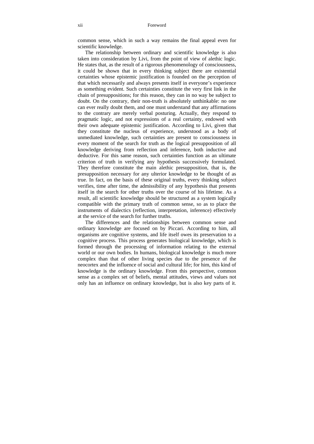common sense, which in such a way remains the final appeal even for scientific knowledge.

The relationship between ordinary and scientific knowledge is also taken into consideration by Livi, from the point of view of alethic logic. He states that, as the result of a rigorous phenomenology of consciousness, it could be shown that in every thinking subject there are existential certainties whose epistemic justification is founded on the perception of that which necessarily and always presents itself in everyone's experience as something evident. Such certainties constitute the very first link in the chain of presuppositions; for this reason, they can in no way be subject to doubt. On the contrary, their non-truth is absolutely unthinkable: no one can ever really doubt them, and one must understand that any affirmations to the contrary are merely verbal posturing. Actually, they respond to pragmatic logic, and not expressions of a real certainty, endowed with their own adequate epistemic justification. According to Livi, given that they constitute the nucleus of experience, understood as a body of unmediated knowledge, such certainties are present to consciousness in every moment of the search for truth as the logical presupposition of all knowledge deriving from reflection and inference, both inductive and deductive. For this same reason, such certainties function as an ultimate criterion of truth in verifying any hypothesis successively formulated. They therefore constitute the main alethic presupposition, that is, the presupposition necessary for any ulterior knowledge to be thought of as true. In fact, on the basis of these original truths, every thinking subject verifies, time after time, the admissibility of any hypothesis that presents itself in the search for other truths over the course of his lifetime. As a result, all scientific knowledge should be structured as a system logically compatible with the primary truth of common sense, so as to place the instruments of dialectics (reflection, interpretation, inference) effectively at the service of the search for further truths.

The differences and the relationships between common sense and ordinary knowledge are focused on by Piccari. According to him, all organisms are cognitive systems, and life itself owes its preservation to a cognitive process. This process generates biological knowledge, which is formed through the processing of information relating to the external world or our own bodies. In humans, biological knowledge is much more complex than that of other living species due to the presence of the neocortex and the influence of social and cultural life; for him, this kind of knowledge is the ordinary knowledge. From this perspective, common sense as a complex set of beliefs, mental attitudes, views and values not only has an influence on ordinary knowledge, but is also key parts of it.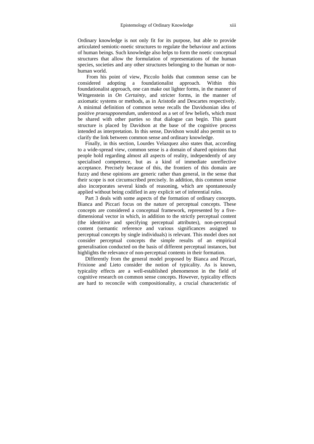Ordinary knowledge is not only fit for its purpose, but able to provide articulated semiotic-noetic structures to regulate the behaviour and actions of human beings. Such knowledge also helps to form the noetic conceptual structures that allow the formulation of representations of the human species, societies and any other structures belonging to the human or nonhuman world.

 From his point of view, Piccolo holds that common sense can be considered adopting a foundationalist approach. Within this foundationalist approach, one can make out lighter forms, in the manner of Wittgenstein in *On Certainty*, and stricter forms, in the manner of axiomatic systems or methods, as in Aristotle and Descartes respectively. A minimal definition of common sense recalls the Davidsonian idea of positive *praesupponendum*, understood as a set of few beliefs, which must be shared with other parties so that dialogue can begin. This gaunt structure is placed by Davidson at the base of the cognitive process intended as interpretation. In this sense, Davidson would also permit us to clarify the link between common sense and ordinary knowledge.

Finally, in this section, Lourdes Velazquez also states that, according to a wide-spread view, common sense is a domain of shared opinions that people hold regarding almost all aspects of reality, independently of any specialised competence, but as a kind of immediate unreflective acceptance. Precisely because of this, the frontiers of this domain are fuzzy and these opinions are generic rather than general, in the sense that their scope is not circumscribed precisely. In addition, this common sense also incorporates several kinds of reasoning, which are spontaneously applied without being codified in any explicit set of inferential rules.

Part 3 deals with some aspects of the formation of ordinary concepts. Bianca and Piccari focus on the nature of perceptual concepts. These concepts are considered a conceptual framework, represented by a fivedimensional vector in which, in addition to the strictly perceptual content (the identitive and specifying perceptual attributes), non-perceptual content (semantic reference and various significances assigned to perceptual concepts by single individuals) is relevant. This model does not consider perceptual concepts the simple results of an empirical generalisation conducted on the basis of different perceptual instances, but highlights the relevance of non-perceptual contents in their formation.

Differently from the general model proposed by Bianca and Piccari, Frixione and Lieto consider the notion of typicality. As is known, typicality effects are a well-established phenomenon in the field of cognitive research on common sense concepts. However, typicality effects are hard to reconcile with compositionality, a crucial characteristic of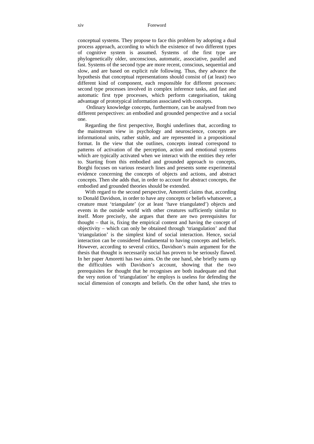conceptual systems. They propose to face this problem by adopting a dual process approach, according to which the existence of two different types of cognitive system is assumed. Systems of the first type are phylogenetically older, unconscious, automatic, associative, parallel and fast. Systems of the second type are more recent, conscious, sequential and slow, and are based on explicit rule following. Thus, they advance the hypothesis that conceptual representations should consist of (at least) two different kind of component, each responsible for different processes: second type processes involved in complex inference tasks, and fast and automatic first type processes, which perform categorisation, taking advantage of prototypical information associated with concepts.

 Ordinary knowledge concepts, furthermore, can be analysed from two different perspectives: an embodied and grounded perspective and a social one.

Regarding the first perspective, Borghi underlines that, according to the mainstream view in psychology and neuroscience, concepts are informational units, rather stable, and are represented in a propositional format. In the view that she outlines, concepts instead correspond to patterns of activation of the perception, action and emotional systems which are typically activated when we interact with the entities they refer to. Starting from this embodied and grounded approach to concepts, Borghi focuses on various research lines and presents some experimental evidence concerning the concepts of objects and actions, and abstract concepts. Then she adds that, in order to account for abstract concepts, the embodied and grounded theories should be extended.

With regard to the second perspective, Amoretti claims that, according to Donald Davidson, in order to have any concepts or beliefs whatsoever, a creature must 'triangulate' (or at least 'have triangulated') objects and events in the outside world with other creatures sufficiently similar to itself. More precisely, she argues that there are two prerequisites for thought – that is, fixing the empirical content and having the concept of objectivity – which can only be obtained through 'triangulation' and that 'triangulation' is the simplest kind of social interaction. Hence, social interaction can be considered fundamental to having concepts and beliefs. However, according to several critics, Davidson's main argument for the thesis that thought is necessarily social has proven to be seriously flawed. In her paper Amoretti has two aims. On the one hand, she briefly sums up the difficulties with Davidson's account, showing that the two prerequisites for thought that he recognises are both inadequate and that the very notion of 'triangulation' he employs is useless for defending the social dimension of concepts and beliefs. On the other hand, she tries to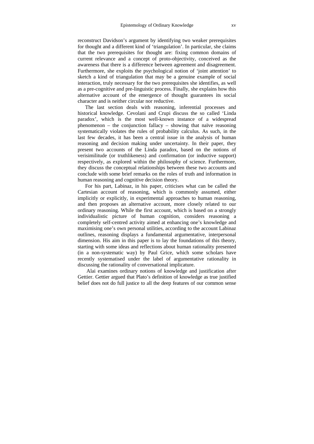reconstruct Davidson's argument by identifying two weaker prerequisites for thought and a different kind of 'triangulation'. In particular, she claims that the two prerequisites for thought are: fixing common domains of current relevance and a concept of proto-objectivity, conceived as the awareness that there is a difference between agreement and disagreement. Furthermore, she exploits the psychological notion of 'joint attention' to sketch a kind of triangulation that may be a genuine example of social interaction, truly necessary for the two prerequisites she identifies, as well as a pre-cognitive and pre-linguistic process. Finally, she explains how this alternative account of the emergence of thought guarantees its social character and is neither circular nor reductive.

The last section deals with reasoning, inferential processes and historical knowledge. Cevolani and Crupi discuss the so called 'Linda paradox', which is the most well-known instance of a widespread phenomenon – the conjunction fallacy – showing that naïve reasoning systematically violates the rules of probability calculus. As such, in the last few decades, it has been a central issue in the analysis of human reasoning and decision making under uncertainty. In their paper, they present two accounts of the Linda paradox, based on the notions of verisimilitude (or truthlikeness) and confirmation (or inductive support) respectively, as explored within the philosophy of science. Furthermore, they discuss the conceptual relationships between these two accounts and conclude with some brief remarks on the roles of truth and information in human reasoning and cognitive decision theory.

For his part, Labinaz, in his paper, criticises what can be called the Cartesian account of reasoning, which is commonly assumed, either implicitly or explicitly, in experimental approaches to human reasoning, and then proposes an alternative account, more closely related to our ordinary reasoning. While the first account, which is based on a strongly individualistic picture of human cognition, considers reasoning a completely self-centred activity aimed at enhancing one's knowledge and maximising one's own personal utilities, according to the account Labinaz outlines, reasoning displays a fundamental argumentative, interpersonal dimension. His aim in this paper is to lay the foundations of this theory, starting with some ideas and reflections about human rationality presented (in a non-systematic way) by Paul Grice, which some scholars have recently systematised under the label of argumentative rationality in discussing the rationality of conversational implicature.

 Alai examines ordinary notions of knowledge and justification after Gettier. Gettier argued that Plato's definition of knowledge as true justified belief does not do full justice to all the deep features of our common sense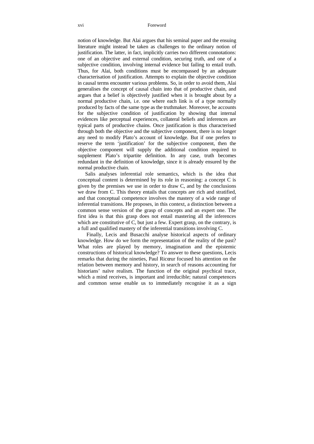notion of knowledge. But Alai argues that his seminal paper and the ensuing literature might instead be taken as challenges to the ordinary notion of justification. The latter, in fact, implicitly carries two different connotations: one of an objective and external condition, securing truth, and one of a subjective condition, involving internal evidence but failing to entail truth. Thus, for Alai, both conditions must be encompassed by an adequate characterisation of justification. Attempts to explain the objective condition in causal terms encounter various problems. So, in order to avoid them, Alai generalises the concept of causal chain into that of productive chain, and argues that a belief is objectively justified when it is brought about by a normal productive chain, i.e. one where each link is of a type normally produced by facts of the same type as the truthmaker. Moreover, he accounts for the subjective condition of justification by showing that internal evidences like perceptual experiences, collateral beliefs and inferences are typical parts of productive chains. Once justification is thus characterised through both the objective and the subjective component, there is no longer any need to modify Plato's account of knowledge. But if one prefers to reserve the term 'justification' for the subjective component, then the objective component will supply the additional condition required to supplement Plato's tripartite definition. In any case, truth becomes redundant in the definition of knowledge, since it is already ensured by the normal productive chain.

Salis analyses inferential role semantics, which is the idea that conceptual content is determined by its role in reasoning: a concept C is given by the premises we use in order to draw C, and by the conclusions we draw from C. This theory entails that concepts are rich and stratified, and that conceptual competence involves the mastery of a wide range of inferential transitions. He proposes, in this context, a distinction between a common sense version of the grasp of concepts and an expert one. The first idea is that this grasp does not entail mastering all the inferences which are constitutive of C, but just a few. Expert grasp, on the contrary, is a full and qualified mastery of the inferential transitions involving C.

 Finally, Lecis and Busacchi analyse historical aspects of ordinary knowledge. How do we form the representation of the reality of the past? What roles are played by memory, imagination and the epistemic constructions of historical knowledge? To answer to these questions, Lecis remarks that during the nineties, Paul Ricœur focused his attention on the relation between memory and history, in search of reasons accounting for historians' naïve realism. The function of the original psychical trace, which a mind receives, is important and irreducible; natural competences and common sense enable us to immediately recognise it as a sign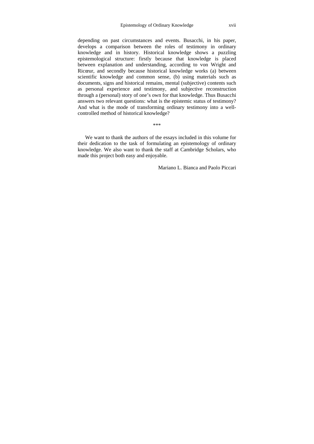depending on past circumstances and events. Busacchi, in his paper, develops a comparison between the roles of testimony in ordinary knowledge and in history. Historical knowledge shows a puzzling epistemological structure: firstly because that knowledge is placed between explanation and understanding, according to von Wright and Ricœur, and secondly because historical knowledge works (a) between scientific knowledge and common sense, (b) using materials such as documents, signs and historical remains, mental (subjective) contents such as personal experience and testimony, and subjective reconstruction through a (personal) story of one's own for that knowledge. Thus Busacchi answers two relevant questions: what is the epistemic status of testimony? And what is the mode of transforming ordinary testimony into a wellcontrolled method of historical knowledge?

\*\*\*

We want to thank the authors of the essays included in this volume for their dedication to the task of formulating an epistemology of ordinary knowledge. We also want to thank the staff at Cambridge Scholars, who made this project both easy and enjoyable.

Mariano L. Bianca and Paolo Piccari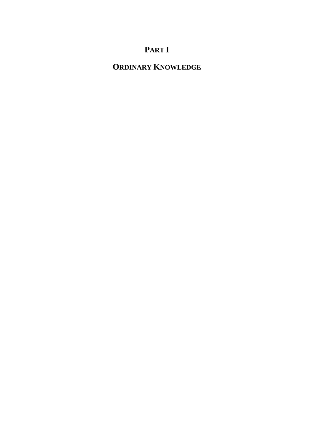## **PART I**

## **ORDINARY KNOWLEDGE**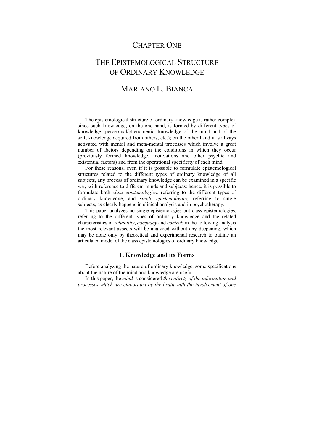## CHAPTER ONE

## THE EPISTEMOLOGICAL STRUCTURE OF ORDINARY KNOWLEDGE

## MARIANO L. BIANCA

The epistemological structure of ordinary knowledge is rather complex since such knowledge, on the one hand, is formed by different types of knowledge (perceptual/phenomenic, knowledge of the mind and of the self, knowledge acquired from others, etc.); on the other hand it is always activated with mental and meta-mental processes which involve a great number of factors depending on the conditions in which they occur (previously formed knowledge, motivations and other psychic and existential factors) and from the operational specificity of each mind.

For these reasons, even if it is possible to formulate epistemological structures related to the different types of ordinary knowledge of all subjects, any process of ordinary knowledge can be examined in a specific way with reference to different minds and subjects: hence, it is possible to formulate both *class epistemologies,* referring to the different types of ordinary knowledge, and *single epistemologies,* referring to single subjects, as clearly happens in clinical analysis and in psychotherapy.

This paper analyzes no single epistemologies but class epistemologies, referring to the different types of ordinary knowledge and the related characteristics of *reliability*, *adequacy* and *control*; in the following analysis the most relevant aspects will be analyzed without any deepening, which may be done only by theoretical and experimental research to outline an articulated model of the class epistemologies of ordinary knowledge.

### **1. Knowledge and its Forms**

Before analyzing the nature of ordinary knowledge, some specifications about the nature of the mind and knowledge are useful.

In this paper, the *mind* is considered *the entirety of the information and processes which are elaborated by the brain with the involvement of one*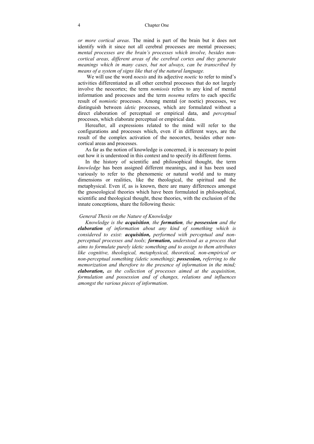#### 4 Chapter One

*or more cortical areas*. The mind is part of the brain but it does not identify with it since not all cerebral processes are mental processes; *mental processes are the brain's processes which involve, besides noncortical areas, different areas of the cerebral cortex and they generate meanings which in many cases, but not always, can be transcribed by means of a system of signs like that of the natural language.* 

 We will use the word *noesis* and its adjective *noetic* to refer to mind's activities differentiated as all other cerebral processes that do not largely involve the neocortex; the term *nomiosis* refers to any kind of mental information and processes and the term *nosema* refers to each specific result of *nomiotic* processes. Among mental (or noetic) processes, we distinguish between *idetic* processes, which are formulated without a direct elaboration of perceptual or empirical data, and *perceptual*  processes, which elaborate perceptual or empirical data.

Hereafter, all expressions related to the mind will refer to the configurations and processes which, even if in different ways, are the result of the complex activation of the neocortex, besides other noncortical areas and processes.

As far as the notion of knowledge is concerned, it is necessary to point out how it is understood in this context and to specify its different forms.

In the history of scientific and philosophical thought, the term *knowledge* has been assigned different meanings, and it has been used variously to refer to the phenomenic or natural world and to many dimensions or realities, like the theological, the spiritual and the metaphysical. Even if, as is known, there are many differences amongst the gnoseological theories which have been formulated in philosophical, scientific and theological thought, these theories, with the exclusion of the innate conceptions, share the following thesis:

#### *General Thesis on the Nature of Knowledge*

*Knowledge is the acquisition, the formation, the possession and the elaboration of information about any kind of something which is considered to exist: acquisition, performed with perceptual and nonperceptual processes and tools; formation, understood as a process that aims to formulate purely idetic something and to assign to them attributes like cognitive, theological, metaphysical, theoretical, non-empirical or non-perceptual something (idetic something); possession, referring to the memorization and therefore to the presence of information in the mind; elaboration, as the collection of processes aimed at the acquisition, formulation and possession and of changes, relations and influences amongst the various pieces of information*.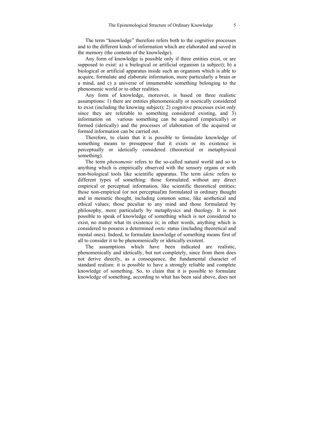The term "knowledge" therefore refers both to the cognitive processes and to the different kinds of information which are elaborated and saved in the memory (the contents of the knowledge).

Any form of knowledge is possible only if three entities exist, or are supposed to exist: a) a biological or artificial organism (a subject); b) a biological or artificial apparatus inside such an organism which is able to acquire, formulate and elaborate information, more particularly a brain or a mind, and c) a universe of innumerable something belonging to the phenomenic world or to other realities.

Any form of knowledge, moreover, is based on three realistic assumptions: 1) there are entities phenomenically or noetically considered to exist (including the knowing subject); 2) cognitive processes exist only since they are referable to something considered existing, and 3) information on various something can be acquired (empirically) or formed (idetically) and the processes of elaboration of the acquired or formed information can be carried out.

Therefore, to claim that it is possible to formulate knowledge of something means to presuppose that it exists or its existence is perceptually or idetically considered (theoretical or metaphysical something).

The term *phenomenic* refers to the so-called natural world and so to anything which is empirically observed with the sensory organs or with non-biological tools like scientific apparatus. The term *idetic* refers to different types of something: those formulated without any direct empirical or perceptual information, like scientific theoretical entities; those non-empirical (or not perceptual)m formulated in ordinary thought and in memetic thought, including common sense, like aesthetical and ethical values; those peculiar to any mind and those formulated by philosophy, more particularly by metaphysics and theology. It is not possible to speak of knowledge of something which is not considered to exist, no matter what its existence is; in other words, anything which is considered to possess a determined *ontic* status (including theoretical and mental ones). Indeed, to formulate knowledge of something means first of all to consider it to be phenomenically or idetically existent.

The assumptions which have been indicated are realistic, phenomenically and idetically, but not completely, since from them does not derive directly, as a consequence, the fundamental character of standard realism: it is possible to have a strongly reliable and complete knowledge of something. So, to claim that it is possible to formulate knowledge of something, according to what has been said above, does not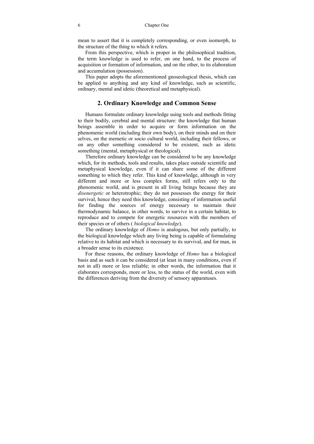mean to assert that it is completely corresponding, or even isomorph, to the structure of the thing to which it refers.

From this perspective, which is proper in the philosophical tradition, the term knowledge is used to refer, on one hand, to the process of acquisition or formation of information, and on the other, to its elaboration and accumulation (possession).

This paper adopts the aforementioned gnoseological thesis, which can be applied to anything and any kind of knowledge, such as scientific, ordinary, mental and idetic (theoretical and metaphysical).

#### **2. Ordinary Knowledge and Common Sense**

Humans formulate ordinary knowledge using tools and methods fitting to their bodily, cerebral and mental structure: the knowledge that human beings assemble in order to acquire or form information on the phenomenic world (including their own body), on their minds and on their selves, on the memetic or socio cultural world, including their fellows, or on any other something considered to be existent, such as idetic something (mental, metaphysical or theological).

Therefore ordinary knowledge can be considered to be any knowledge which, for its methods, tools and results, takes place outside scientific and metaphysical knowledge, even if it can share some of the different something to which they refer. This kind of knowledge, although in very different and more or less complex forms, still refers only to the phenomenic world, and is present in all living beings because they are *disenergetic* or heterotrophic; they do not possesses the energy for their survival, hence they need this knowledge, consisting of information useful for finding the sources of energy necessary to maintain their thermodynamic balance, in other words, to survive in a certain habitat, to reproduce and to compete for energetic resources with the members of their species or of others ( *biological knowledge*).

The ordinary knowledge of *Homo* is analogous, but only partially, to the biological knowledge which any living being is capable of formulating relative to its habitat and which is necessary to its survival, and for man, in a broader sense to its existence.

For these reasons, the ordinary knowledge of *Homo* has a biological basis and as such it can be considered (at least in many conditions, even if not in all) more or less reliable; in other words, the information that it elaborates corresponds, more or less, to the status of the world, even with the differences deriving from the diversity of sensory apparatuses.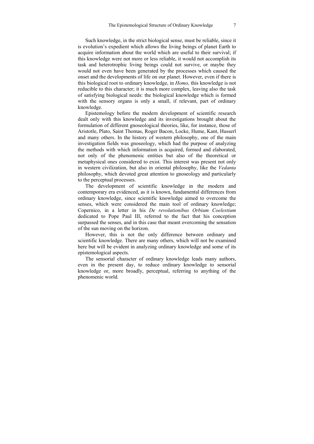Such knowledge, in the strict biological sense, must be reliable, since it is evolution's expedient which allows the living beings of planet Earth to acquire information about the world which are useful to their survival; if this knowledge were not more or less reliable, it would not accomplish its task and heterotrophic living beings could not survive, or maybe they would not even have been generated by the processes which caused the onset and the developments of life on our planet. However, even if there is this biological root to ordinary knowledge, in *Homo,* this knowledge is not reducible to this character; it is much more complex, leaving also the task of satisfying biological needs: the biological knowledge which is formed with the sensory organs is only a small, if relevant, part of ordinary knowledge.

Epistemology before the modern development of scientific research dealt only with this knowledge and its investigations brought about the formulation of different gnoseological theories, like, for instance, those of Aristotle, Plato, Saint Thomas, Roger Bacon, Locke, Hume, Kant, Husserl and many others. In the history of western philosophy, one of the main investigation fields was gnoseology, which had the purpose of analyzing the methods with which information is acquired, formed and elaborated, not only of the phenomenic entities but also of the theoretical or metaphysical ones considered to exist. This interest was present not only in western civilization, but also in oriental philosophy, like the *Vedanta*  philosophy, which devoted great attention to gnoseology and particularly to the perceptual processes.

The development of scientific knowledge in the modern and contemporary era evidenced, as it is known, fundamental differences from ordinary knowledge, since scientific knowledge aimed to overcome the senses, which were considered the main tool of ordinary knowledge; Copernico, in a letter in his *De revolutionibus Orbium Coelestium* dedicated to Pope Paul III, referred to the fact that his conception surpassed the senses, and in this case that meant overcoming the sensation of the sun moving on the horizon.

However, this is not the only difference between ordinary and scientific knowledge. There are many others, which will not be examined here but will be evident in analyzing ordinary knowledge and some of its epistemological aspects.

The sensorial character of ordinary knowledge leads many authors, even in the present day, to reduce ordinary knowledge to sensorial knowledge or, more broadly, perceptual, referring to anything of the phenomenic world.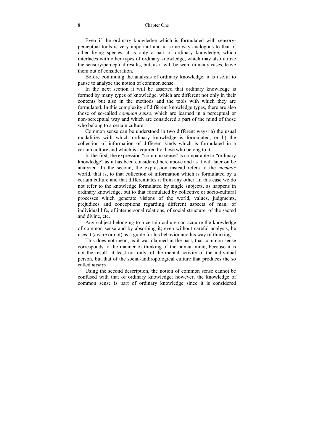Even if the ordinary knowledge which is formulated with sensoryperceptual tools is very important and in some way analogous to that of other living species, it is only a part of ordinary knowledge, which interlaces with other types of ordinary knowledge, which may also utilize the sensory/perceptual results, but, as it will be seen, in many cases, leave them out of consideration.

Before continuing the analysis of ordinary knowledge, it is useful to pause to analyze the notion of common sense.

In the next section it will be asserted that ordinary knowledge is formed by many types of knowledge, which are different not only in their contents but also in the methods and the tools with which they are formulated. In this complexity of different knowledge types, there are also those of so-called *common sense,* which are learned in a perceptual or non-perceptual way and which are considered a part of the mind of those who belong to a certain culture.

Common sense can be understood in two different ways: a) the usual modalities with which ordinary knowledge is formulated, or b) the collection of information of different kinds which is formulated in a certain culture and which is acquired by those who belong to it.

In the first, the expression "common sense" is comparable to "ordinary knowledge" as it has been considered here above and as it will later on be analyzed. In the second, the expression instead refers to the *memetic* world, that is, to that collection of information which is formulated by a certain culture and that differentiates it from any other. In this case we do not refer to the knowledge formulated by single subjects, as happens in ordinary knowledge, but to that formulated by collective or socio-cultural processes which generate visions of the world, values, judgments, prejudices and conceptions regarding different aspects of man, of individual life, of interpersonal relations, of social structure, of the sacred and divine, etc.

Any subject belonging to a certain culture can acquire the knowledge of common sense and by absorbing it; even without careful analysis, he uses it (aware or not) as a guide for his behavior and his way of thinking.

This does not mean, as it was claimed in the past, that common sense corresponds to the manner of thinking of the human mind, because it is not the result, at least not only, of the mental activity of the individual person, but that of the social-anthropological culture that produces the so called *memes*.

Using the second description, the notion of common sense cannot be confused with that of ordinary knowledge; however, the knowledge of common sense is part of ordinary knowledge since it is considered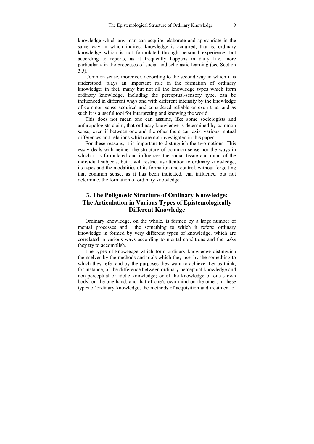knowledge which any man can acquire, elaborate and appropriate in the same way in which indirect knowledge is acquired, that is, ordinary knowledge which is not formulated through personal experience, but according to reports, as it frequently happens in daily life, more particularly in the processes of social and scholastic learning (see Section 3.5).

Common sense, moreover, according to the second way in which it is understood, plays an important role in the formation of ordinary knowledge; in fact, many but not all the knowledge types which form ordinary knowledge, including the perceptual-sensory type, can be influenced in different ways and with different intensity by the knowledge of common sense acquired and considered reliable or even true, and as such it is a useful tool for interpreting and knowing the world.

This does not mean one can assume, like some sociologists and anthropologists claim, that ordinary knowledge is determined by common sense, even if between one and the other there can exist various mutual differences and relations which are not investigated in this paper.

For these reasons, it is important to distinguish the two notions. This essay deals with neither the structure of common sense nor the ways in which it is formulated and influences the social tissue and mind of the individual subjects, but it will restrict its attention to ordinary knowledge, its types and the modalities of its formation and control, without forgetting that common sense, as it has been indicated, can influence, but not determine, the formation of ordinary knowledge.

### **3. The Polignosic Structure of Ordinary Knowledge: The Articulation in Various Types of Epistemologically Different Knowledge**

Ordinary knowledge, on the whole, is formed by a large number of mental processes and the something to which it refers: ordinary knowledge is formed by very different types of knowledge, which are correlated in various ways according to mental conditions and the tasks they try to accomplish.

The types of knowledge which form ordinary knowledge distinguish themselves by the methods and tools which they use, by the something to which they refer and by the purposes they want to achieve. Let us think, for instance, of the difference between ordinary perceptual knowledge and non-perceptual or idetic knowledge; or of the knowledge of one's own body, on the one hand, and that of one's own mind on the other; in these types of ordinary knowledge, the methods of acquisition and treatment of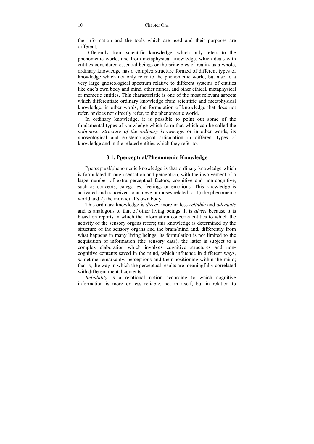the information and the tools which are used and their purposes are different.

Differently from scientific knowledge, which only refers to the phenomenic world, and from metaphysical knowledge, which deals with entities considered essential beings or the principles of reality as a whole, ordinary knowledge has a complex structure formed of different types of knowledge which not only refer to the phenomenic world, but also to a very large gnoseological spectrum relative to different systems of entities like one's own body and mind, other minds, and other ethical, metaphysical or memetic entities. This characteristic is one of the most relevant aspects which differentiate ordinary knowledge from scientific and metaphysical knowledge; in other words, the formulation of knowledge that does not refer, or does not directly refer, to the phenomenic world.

In ordinary knowledge, it is possible to point out some of the fundamental types of knowledge which form that which can be called the *polignosic structure of the ordinary knowledge,* or in other words, its gnoseological and epistemological articulation in different types of knowledge and in the related entities which they refer to.

#### **3.1. Pperceptual/Phenomenic Knowledge**

Pperceptual/phenomenic knowledge is that ordinary knowledge which is formulated through sensation and perception, with the involvement of a large number of extra perceptual factors, cognitive and non-cognitive, such as concepts, categories, feelings or emotions. This knowledge is activated and conceived to achieve purposes related to: 1) the phenomenic world and 2) the individual's own body.

This ordinary knowledge is *direct*, more or less *reliable* and *adequate* and is analogous to that of other living beings. It is *direct* because it is based on reports in which the information concerns entities to which the activity of the sensory organs refers; this knowledge is determined by the structure of the sensory organs and the brain/mind and, differently from what happens in many living beings, its formulation is not limited to the acquisition of information (the sensory data); the latter is subject to a complex elaboration which involves cognitive structures and noncognitive contents saved in the mind, which influence in different ways, sometime remarkably, perceptions and their positioning within the mind; that is, the way in which the perceptual results are meaningfully correlated with different mental contents.

*Reliability* is a relational notion according to which cognitive information is more or less reliable, not in itself, but in relation to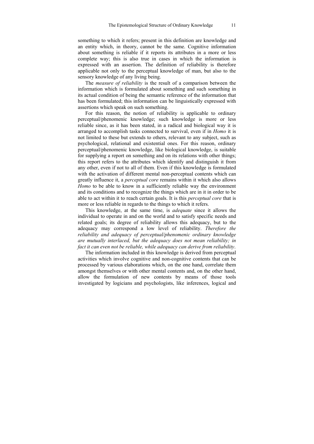something to which it refers; present in this definition are knowledge and an entity which, in theory, cannot be the same. Cognitive information about something is reliable if it reports its attributes in a more or less complete way; this is also true in cases in which the information is expressed with an assertion. The definition of reliability is therefore applicable not only to the perceptual knowledge of man, but also to the sensory knowledge of any living being.

The *measure of reliability* is the result of a comparison between the information which is formulated about something and such something in its actual condition of being the semantic reference of the information that has been formulated; this information can be linguistically expressed with assertions which speak on such something.

For this reason, the notion of reliability is applicable to ordinary perceptual/phenomenic knowledge; such knowledge is more or less reliable since, as it has been stated, in a radical and biological way it is arranged to accomplish tasks connected to survival, even if in *Homo* it is not limited to these but extends to others, relevant to any subject, such as psychological, relational and existential ones. For this reason, ordinary perceptual/phenomenic knowledge, like biological knowledge, is suitable for supplying a report on something and on its relations with other things; this report refers to the attributes which identify and distinguish it from any other, even if not to all of them. Even if this knowledge is formulated with the activation of different mental non-perceptual contents which can greatly influence it, a *perceptual core* remains within it which also allows *Homo* to be able to know in a sufficiently reliable way the environment and its conditions and to recognize the things which are in it in order to be able to act within it to reach certain goals. It is this *perceptual core* that is more or less reliable in regards to the things to which it refers.

This knowledge, at the same time, is *adequate* since it allows the individual to operate in and on the world and to satisfy specific needs and related goals; its degree of reliability allows this adequacy, but to the adequacy may correspond a low level of reliability. *Therefore the reliability and adequacy of perceptual/phenomenic ordinary knowledge are mutually interlaced, but the adequacy does not mean reliability; in fact it can even not be reliable, while adequacy can derive from reliability*.

The information included in this knowledge is derived from perceptual activities which involve cognitive and non-cognitive contents that can be processed by various elaborations which, on the one hand, correlate them amongst themselves or with other mental contents and, on the other hand, allow the formulation of new contents by means of those tools investigated by logicians and psychologists, like inferences, logical and